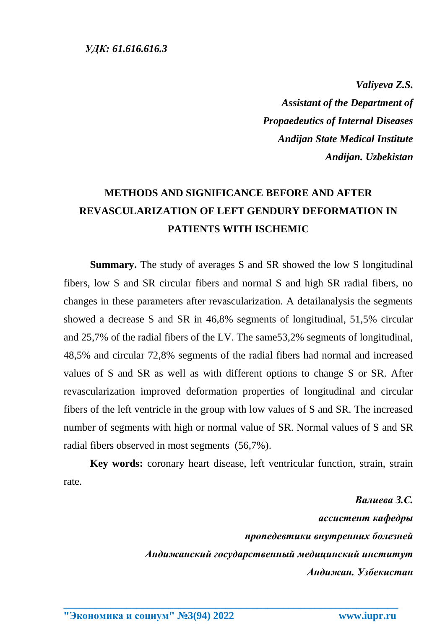*Valiyeva Z.S. Assistant of the Department of Propaedeutics of Internal Diseases Andijan State Medical Institute Andijan. Uzbekistan*

## **METHODS AND SIGNIFICANCE BEFORE AND AFTER REVASCULARIZATION OF LEFT GENDURY DEFORMATION IN PATIENTS WITH ISCHEMIC**

**Summary.** The study of averages S and SR showed the low S longitudinal fibers, low S and SR circular fibers and normal S and high SR radial fibers, no changes in these parameters after revascularization. A detailanalysis the segments showed a decrease S and SR in 46,8% segments of longitudinal, 51,5% circular and 25,7% of the radial fibers of the LV. The same53,2% segments of longitudinal, 48,5% and circular 72,8% segments of the radial fibers had normal and increased values of S and SR as well as with different options to change S or SR. After revascularization improved deformation properties of longitudinal and circular fibers of the left ventricle in the group with low values of S and SR. The increased number of segments with high or normal value of SR. Normal values of S and SR radial fibers observed in most segments (56,7%).

**Key words:** coronary heart disease, left ventricular function, strain, strain rate.

**\_\_\_\_\_\_\_\_\_\_\_\_\_\_\_\_\_\_\_\_\_\_\_\_\_\_\_\_\_\_\_\_\_\_\_\_\_\_\_\_\_\_\_\_\_\_\_\_\_\_\_\_\_\_\_\_\_\_\_\_\_\_\_\_**

*Валиева З.С. ассистент кафедры пропедевтики внутренних болезней Андижанский государственный медицинский институт Андижан. Узбекистан*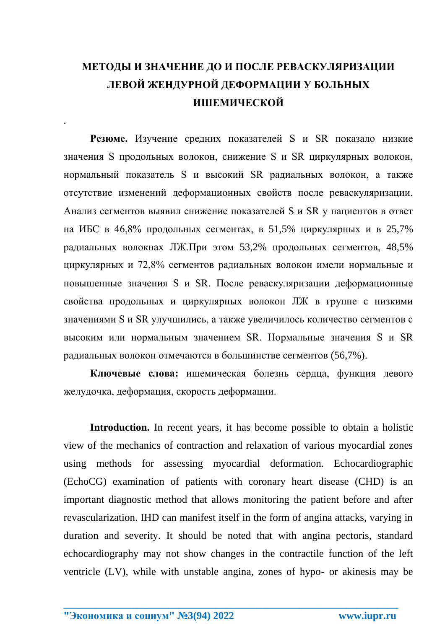## **МЕТОДЫ И ЗНАЧЕНИЕ ДО И ПОСЛЕ РЕВАСКУЛЯРИЗАЦИИ ЛЕВОЙ ЖЕНДУРНОЙ ДЕФОРМАЦИИ У БОЛЬНЫХ ИШЕМИЧЕСКОЙ**

.

**Резюме.** Изучение средних показателей S и SR показало низкие значения S продольных волокон, снижение S и SR циркулярных волокон, нормальный показатель S и высокий SR радиальных волокон, а также отсутствие изменений деформационных свойств после реваскуляризации. Анализ сегментов выявил снижение показателей S и SR у пациентов в ответ на ИБС в 46,8% продольных сегментах, в 51,5% циркулярных и в 25,7% радиальных волокнах ЛЖ.При этом 53,2% продольных сегментов, 48,5% циркулярных и 72,8% сегментов радиальных волокон имели нормальные и повышенные значения S и SR. После реваскуляризации деформационные свойства продольных и циркулярных волокон ЛЖ в группе с низкими значениями S и SR улучшились, а также увеличилось количество сегментов с высоким или нормальным значением SR. Нормальные значения S и SR радиальных волокон отмечаются в большинстве сегментов (56,7%).

**Ключевые слова:** ишемическая болезнь сердца, функция левого желудочка, деформация, скорость деформации.

**Introduction.** In recent years, it has become possible to obtain a holistic view of the mechanics of contraction and relaxation of various myocardial zones using methods for assessing myocardial deformation. Echocardiographic (EchoCG) examination of patients with coronary heart disease (CHD) is an important diagnostic method that allows monitoring the patient before and after revascularization. IHD can manifest itself in the form of angina attacks, varying in duration and severity. It should be noted that with angina pectoris, standard echocardiography may not show changes in the contractile function of the left ventricle (LV), while with unstable angina, zones of hypo- or akinesis may be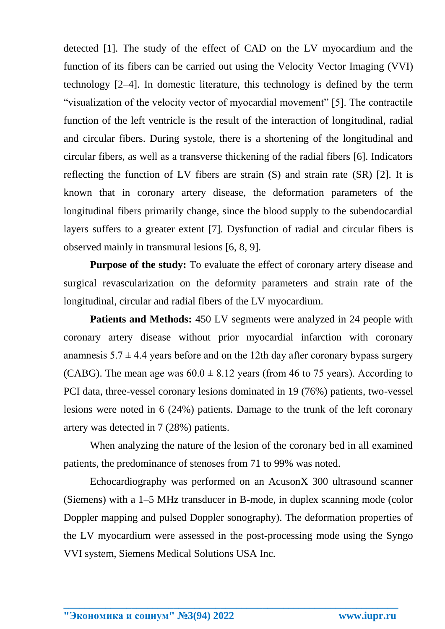detected [1]. The study of the effect of CAD on the LV myocardium and the function of its fibers can be carried out using the Velocity Vector Imaging (VVI) technology [2–4]. In domestic literature, this technology is defined by the term "visualization of the velocity vector of myocardial movement" [5]. The contractile function of the left ventricle is the result of the interaction of longitudinal, radial and circular fibers. During systole, there is a shortening of the longitudinal and circular fibers, as well as a transverse thickening of the radial fibers [6]. Indicators reflecting the function of LV fibers are strain (S) and strain rate (SR) [2]. It is known that in coronary artery disease, the deformation parameters of the longitudinal fibers primarily change, since the blood supply to the subendocardial layers suffers to a greater extent [7]. Dysfunction of radial and circular fibers is observed mainly in transmural lesions [6, 8, 9].

**Purpose of the study:** To evaluate the effect of coronary artery disease and surgical revascularization on the deformity parameters and strain rate of the longitudinal, circular and radial fibers of the LV myocardium.

**Patients and Methods:** 450 LV segments were analyzed in 24 people with coronary artery disease without prior myocardial infarction with coronary anamnesis  $5.7 \pm 4.4$  years before and on the 12th day after coronary bypass surgery (CABG). The mean age was  $60.0 \pm 8.12$  years (from 46 to 75 years). According to PCI data, three-vessel coronary lesions dominated in 19 (76%) patients, two-vessel lesions were noted in 6 (24%) patients. Damage to the trunk of the left coronary artery was detected in 7 (28%) patients.

When analyzing the nature of the lesion of the coronary bed in all examined patients, the predominance of stenoses from 71 to 99% was noted.

Echocardiography was performed on an AcusonX 300 ultrasound scanner (Siemens) with a 1–5 MHz transducer in B-mode, in duplex scanning mode (color Doppler mapping and pulsed Doppler sonography). The deformation properties of the LV myocardium were assessed in the post-processing mode using the Syngo VVI system, Siemens Medical Solutions USA Inc.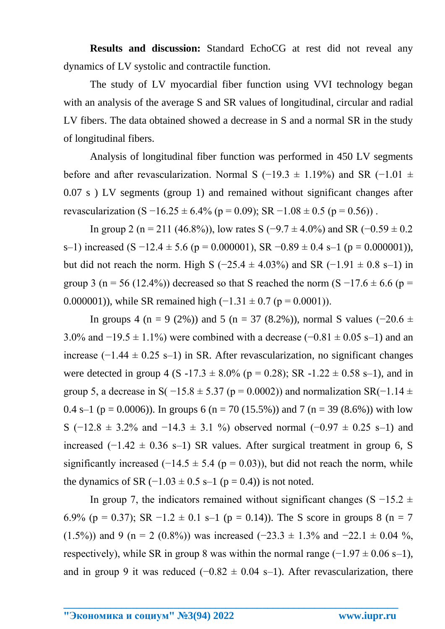**Results and discussion:** Standard EchoCG at rest did not reveal any dynamics of LV systolic and contractile function.

The study of LV myocardial fiber function using VVI technology began with an analysis of the average S and SR values of longitudinal, circular and radial LV fibers. The data obtained showed a decrease in S and a normal SR in the study of longitudinal fibers.

Analysis of longitudinal fiber function was performed in 450 LV segments before and after revascularization. Normal S (−19.3  $\pm$  1.19%) and SR (−1.01  $\pm$ 0.07 s ) LV segments (group 1) and remained without significant changes after revascularization  $(S - 16.25 \pm 6.4\%$  (p = 0.09); SR  $-1.08 \pm 0.5$  (p = 0.56)).

In group 2 (n = 211 (46.8%)), low rates S (−9.7  $\pm$  4.0%) and SR (−0.59  $\pm$  0.2 s–1) increased (S −12.4 ± 5.6 (p = 0.000001), SR −0.89 ± 0.4 s–1 (p = 0.000001)), but did not reach the norm. High S ( $-25.4 \pm 4.03\%$ ) and SR ( $-1.91 \pm 0.8$  s–1) in group 3 (n = 56 (12.4%)) decreased so that S reached the norm (S  $-17.6 \pm 6.6$  (p = 0.000001)), while SR remained high  $(-1.31 \pm 0.7$  (p = 0.0001)).

In groups 4 (n = 9 (2%)) and 5 (n = 37 (8.2%)), normal S values (-20.6  $\pm$ 3.0% and  $-19.5 \pm 1.1$ %) were combined with a decrease ( $-0.81 \pm 0.05$  s–1) and an increase (−1.44 ± 0.25 s–1) in SR. After revascularization, no significant changes were detected in group 4 (S -17.3  $\pm$  8.0% (p = 0.28); SR -1.22  $\pm$  0.58 s–1), and in group 5, a decrease in S( $-15.8 \pm 5.37$  (p = 0.0002)) and normalization SR( $-1.14 \pm 1.14$ 0.4 s–1 (p = 0.0006)). In groups 6 (n = 70 (15.5%)) and 7 (n = 39 (8.6%)) with low S (-12.8  $\pm$  3.2% and -14.3  $\pm$  3.1 %) observed normal (-0.97  $\pm$  0.25 s–1) and increased  $(-1.42 \pm 0.36 \text{ s}-1)$  SR values. After surgical treatment in group 6, S significantly increased  $(-14.5 \pm 5.4$  (p = 0.03)), but did not reach the norm, while the dynamics of SR  $(-1.03 \pm 0.5 \text{ s} - 1 \text{ (p} = 0.4))$  is not noted.

In group 7, the indicators remained without significant changes (S  $-15.2 \pm 1$ 6.9% (p = 0.37); SR  $-1.2 \pm 0.1$  s–1 (p = 0.14)). The S score in groups 8 (n = 7 (1.5%)) and 9 (n = 2 (0.8%)) was increased (−23.3 ± 1.3% and −22.1 ± 0.04 %, respectively), while SR in group 8 was within the normal range  $(-1.97 \pm 0.06 \text{ s}-1)$ , and in group 9 it was reduced  $(-0.82 \pm 0.04 \text{ s}-1)$ . After revascularization, there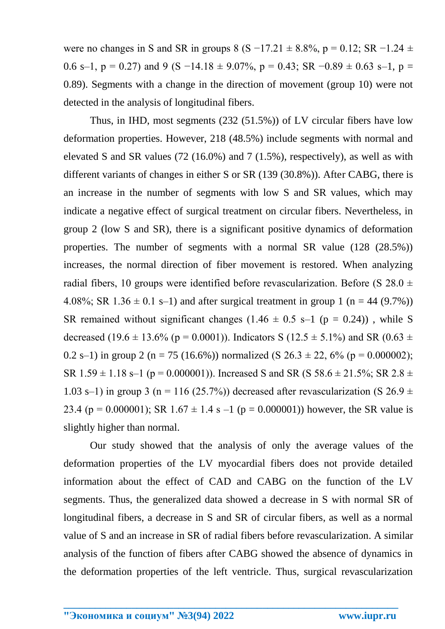were no changes in S and SR in groups 8 (S −17.21  $\pm$  8.8%, p = 0.12; SR −1.24  $\pm$ 0.6 s–1, p = 0.27) and 9 (S −14.18  $\pm$  9.07%, p = 0.43; SR −0.89  $\pm$  0.63 s–1, p = 0.89). Segments with a change in the direction of movement (group 10) were not detected in the analysis of longitudinal fibers.

Thus, in IHD, most segments (232 (51.5%)) of LV circular fibers have low deformation properties. However, 218 (48.5%) include segments with normal and elevated S and SR values (72 (16.0%) and 7 (1.5%), respectively), as well as with different variants of changes in either S or SR (139 (30.8%)). After CABG, there is an increase in the number of segments with low S and SR values, which may indicate a negative effect of surgical treatment on circular fibers. Nevertheless, in group 2 (low S and SR), there is a significant positive dynamics of deformation properties. The number of segments with a normal SR value (128 (28.5%)) increases, the normal direction of fiber movement is restored. When analyzing radial fibers, 10 groups were identified before revascularization. Before (S  $28.0 \pm$ 4.08%; SR  $1.36 \pm 0.1$  s-1) and after surgical treatment in group 1 (n = 44 (9.7%)) SR remained without significant changes  $(1.46 \pm 0.5 \text{ s}-1 \text{ (p } = 0.24))$ , while S decreased (19.6  $\pm$  13.6% (p = 0.0001)). Indicators S (12.5  $\pm$  5.1%) and SR (0.63  $\pm$ 0.2 s–1) in group 2 (n = 75 (16.6%)) normalized (S  $26.3 \pm 22$ , 6% (p = 0.000002); SR  $1.59 \pm 1.18$  s-1 (p = 0.000001)). Increased S and SR (S 58.6  $\pm$  21.5%; SR 2.8  $\pm$ 1.03 s–1) in group 3 (n = 116 (25.7%)) decreased after revascularization (S 26.9  $\pm$ 23.4 (p = 0.000001); SR 1.67  $\pm$  1.4 s –1 (p = 0.000001)) however, the SR value is slightly higher than normal.

Our study showed that the analysis of only the average values of the deformation properties of the LV myocardial fibers does not provide detailed information about the effect of CAD and CABG on the function of the LV segments. Thus, the generalized data showed a decrease in S with normal SR of longitudinal fibers, a decrease in S and SR of circular fibers, as well as a normal value of S and an increase in SR of radial fibers before revascularization. A similar analysis of the function of fibers after CABG showed the absence of dynamics in the deformation properties of the left ventricle. Thus, surgical revascularization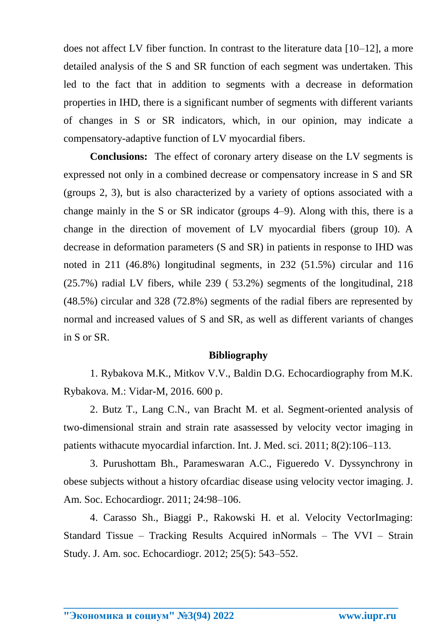does not affect LV fiber function. In contrast to the literature data [10–12], a more detailed analysis of the S and SR function of each segment was undertaken. This led to the fact that in addition to segments with a decrease in deformation properties in IHD, there is a significant number of segments with different variants of changes in S or SR indicators, which, in our opinion, may indicate a compensatory-adaptive function of LV myocardial fibers.

**Conclusions:** The effect of coronary artery disease on the LV segments is expressed not only in a combined decrease or compensatory increase in S and SR (groups 2, 3), but is also characterized by a variety of options associated with a change mainly in the S or SR indicator (groups 4–9). Along with this, there is a change in the direction of movement of LV myocardial fibers (group 10). A decrease in deformation parameters (S and SR) in patients in response to IHD was noted in 211 (46.8%) longitudinal segments, in 232 (51.5%) circular and 116 (25.7%) radial LV fibers, while 239 ( 53.2%) segments of the longitudinal, 218 (48.5%) circular and 328 (72.8%) segments of the radial fibers are represented by normal and increased values of S and SR, as well as different variants of changes in S or SR.

## **Bibliography**

1. Rybakova M.K., Mitkov V.V., Baldin D.G. Echocardiography from M.K. Rybakova. M.: Vidar-M, 2016. 600 p.

2. Butz T., Lang C.N., van Bracht M. et al. Segment-oriented analysis of two-dimensional strain and strain rate asassessed by velocity vector imaging in patients withacute myocardial infarction. Int. J. Med. sci. 2011; 8(2):106–113.

3. Purushottam Bh., Parameswaran A.C., Figueredo V. Dyssynchrony in obese subjects without a history ofcardiac disease using velocity vector imaging. J. Am. Soc. Echocardiogr. 2011; 24:98–106.

4. Carasso Sh., Biaggi P., Rakowski H. et al. Velocity VectorImaging: Standard Tissue – Tracking Results Acquired inNormals – The VVI – Strain Study. J. Am. soc. Echocardiogr. 2012; 25(5): 543–552.